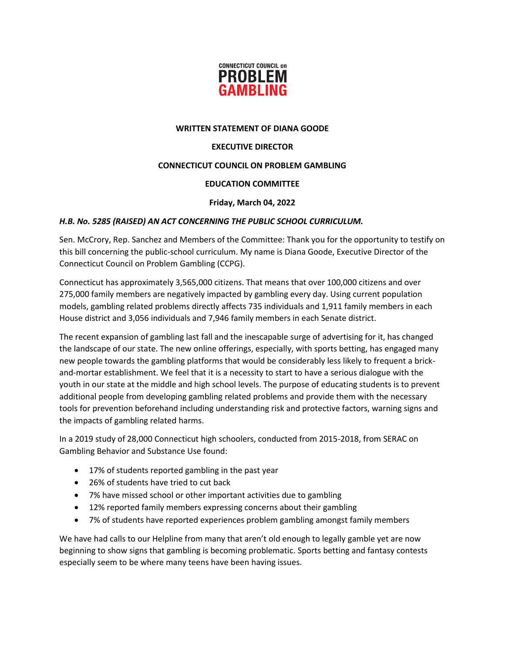

### **WRITTEN STATEMENT OF DIANA GOODE**

# **EXECUTIVE DIRECTOR**

# **CONNECTICUT COUNCIL ON PROBLEM GAMBLING**

# **EDUCATION COMMITTEE**

#### **Friday, March 04, 2022**

#### *H.B. No. 5285 (RAISED) AN ACT CONCERNING THE PUBLIC SCHOOL CURRICULUM.*

Sen. McCrory, Rep. Sanchez and Members of the Committee: Thank you for the opportunity to testify on this bill concerning the public-school curriculum. My name is Diana Goode, Executive Director of the Connecticut Council on Problem Gambling (CCPG).

Connecticut has approximately 3,565,000 citizens. That means that over 100,000 citizens and over 275,000 family members are negatively impacted by gambling every day. Using current population models, gambling related problems directly affects 735 individuals and 1,911 family members in each House district and 3,056 individuals and 7,946 family members in each Senate district.

The recent expansion of gambling last fall and the inescapable surge of advertising for it, has changed the landscape of our state. The new online offerings, especially, with sports betting, has engaged many new people towards the gambling platforms that would be considerably less likely to frequent a brickand-mortar establishment. We feel that it is a necessity to start to have a serious dialogue with the youth in our state at the middle and high school levels. The purpose of educating students is to prevent additional people from developing gambling related problems and provide them with the necessary tools for prevention beforehand including understanding risk and protective factors, warning signs and the impacts of gambling related harms.

In a 2019 study of 28,000 Connecticut high schoolers, conducted from 2015-2018, from SERAC on Gambling Behavior and Substance Use found:

- 17% of students reported gambling in the past year
- 26% of students have tried to cut back
- 7% have missed school or other important activities due to gambling
- 12% reported family members expressing concerns about their gambling
- 7% of students have reported experiences problem gambling amongst family members

We have had calls to our Helpline from many that aren't old enough to legally gamble yet are now beginning to show signs that gambling is becoming problematic. Sports betting and fantasy contests especially seem to be where many teens have been having issues.